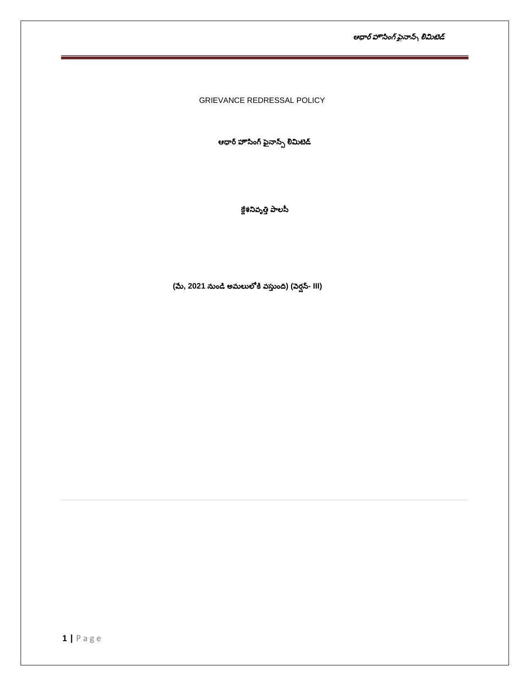ఆధార్ హౌసింగ్ ఫైనాన్స్ లిమిటెడ్

GRIEVANCE REDRESSAL POLICY

ఆధార్ హౌసింగ్ ఫైనాన్స్ లిమిటెడ్

క్లేశనివృత్తి పాలసీ

(మే, 2021 నుండి అమలులోకి వస్తుంది) (వెర్షన్- III)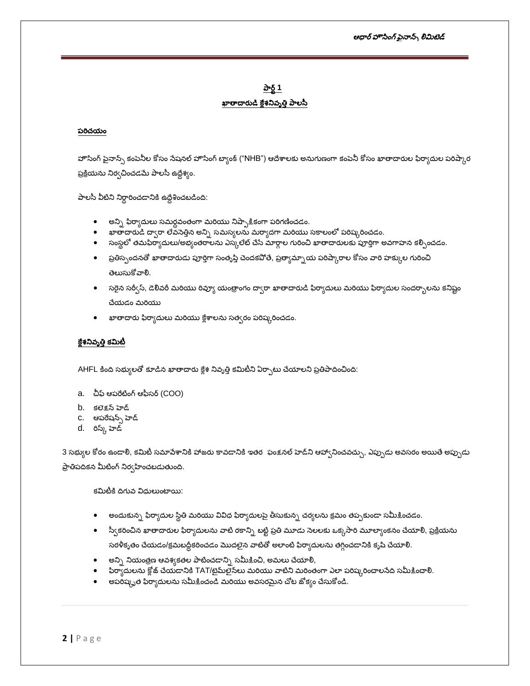# పార్ట్ 1 ఖాతాదారుడి క్లేశనివృత్తి పాలసీ

### పరిచయం

హౌసింగ్ పైనాన్స్ కంపెనీల కోసం సేషనల్ హౌసింగ్ బ్యాంక్ ("NHB") ఆదేశాలకు అనుగుణంగా కంపెనీ కోసం ఖాతాదారుల ఫిర్యాదుల పరిష్కార ప్రక్రియను నిర్వచించడమే పాలసీ ఉద్దేశ్యం.

పాలసీ వీటిని నిర్ధారించడానికి ఉద్దేశించబడింది:

- $\bullet$  లన్ని ఫిర్యాదులు సమర్ధవంతంగా మరియు నిష్పాక్షికంగా పరిగణించడం.
- ఖాతాదారుడి ద్వారా లేవనెత్తిన అన్ని సమస్యలను మర్యాదగా మరియు సకాలంలో పరిష్కరించడం.
- సంస్థలో తమఫిర్యాదులు/అభ్యంతరాలను ఎస్కలేట్ చేసే మార్గాల గురించి ఖాతాదారులకు పూర్తిగా అవగాహన కల్పించడం.
- ప్రతిస్పందనతో ఖాతాదారుడు పూర్తిగా సంతృప్తి చెందకపోతే, ప్రత్యామ్నాయ పరిష్కారాల కోసం వారి హక్కుల గురించి తెలుసుకోవాలి.
- సరైన సర్వీస్, డెలివరీ మరియు రివ్యూ యంత్రాంగం ద్వారా ఖాతాదారుడి ఫిర్యాదులు మరియు ఫిర్యాదుల సందర్భాలను కనిష్టం చేయడం మరియు
- ఖాతాదారు ఫిర్యాదులు మరియు క్లేశాలను సత్వరం పరిష్కరించడం.

### క్లేశనివృత్తి కమిటీ

AHFL కింది సభ్యులతో కూడిన ఖాతాదారు క్లేశ నివృత్తి కమిటీని ఏర్పాటు చేయాలని ప్రతిపాదించింది:

- a. చీఫ్ ఆపరేటింగ్ ఆఫీసర్ (COO)
- b. కలెక్షన్ హెడ్
- C. ఆపరేషన్స్ హెడ్
- d. రిస్క్ హెడ్

3 సభ్యుల కోరం ఉండాలి, కమిటీ సమాపేశానికి హాజరు కావడానికి ఇతర ఫంక్షనల్ హెడ్ని ఆహ్వానించవచ్చు, ఎప్పుడు అవసరం అయితే అప్పుడు

ప్రాతిపదికన మీటింగ్ నిర్వహించబడుతుంది.

కమిటీకి దిగువ విదులుంటాయి:

- లందుకున్న ఫిర్యాదుల స్థితి మరియు వివిధ ఫిర్యాదులపై తీసుకున్న చర్యలను క్రమం తప్పకుండా సమీకించడం.
- స్వీకరించిన ఖాతాదారుల ఫిర్యాదులను వాటి రకాన్ని టట్టి ప్రతి మూడు సెలలకు ఒక్కసారి మూల్యాంకనం చేయాలి, ప్రక్రియను

సరళీకృతం చేయడం/క్రమబద్ధీకరించడం మొదలైన వాటితో అలాంటి ఫిర్యాదులను తగ్గించడానికి కృషి చేయాలి.

- లన్ని నియంత్రణ ఆవశ్యకతల పాటించడాన్ని సమీక్షించి, అమలు చేయాలి,
- ఫిర్యాదులను క్లోజ్ చేయడానికి TAT/టైమ్ఐైన్లు మరియు వాటిని మరింతంగా ఎలా పరిష్కరించాలనేది సమీ<u>కి</u>ంచాలి.
- అపరిష్కృత ఫిర్యాదులను సమీకించండి మరియు అవసరమైన చోట జోక్యం చేసుకోండి.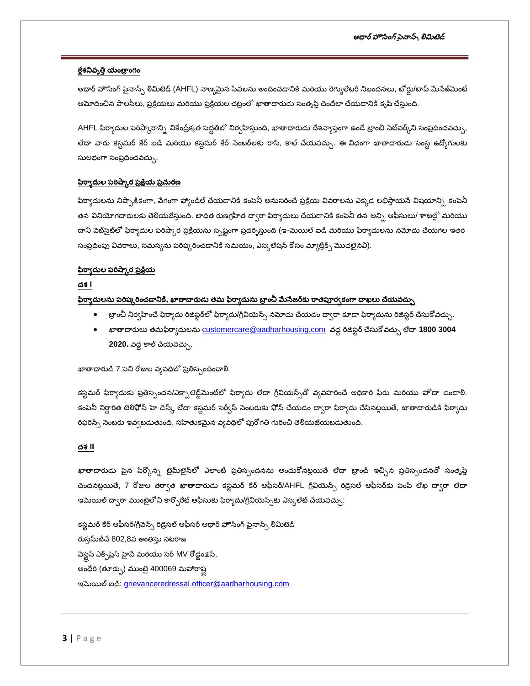### క్లేశనివృత్తి యంత్రాంగం

ఆధార్ హౌసింగ్ ఫైనాన్స్ లిమిటెడ్ (AHFL) నాణ్యమైన సేవలను అందించడానికి మరియు రెగ్యులేటరీ నిబంధనలు, బోర్డు/టాప్ మేనేజ్<mark>మె</mark>ంట్ ఆమోదించిన పాలసీలు, ప్రక్రియలు మరియు ప్రక్రియల చట్రంలో ఖాతాదారుడు సంతృప్తి చెందేలా చేయడానికి కృషి చేస్తుంది.

AHFL ఫిర్యాదుల పరిష్కారాన్ని వికేంద్రీకృత పద్ధతిలో నిర్వహిస్తుంది, ఖాతాదారుడు దేశవ్యాప్తంగా ఉండే బ్రాంబీ సెట్వర్కీని సంప్రదించవచ్చు, లేదా వారు కస్టమర్ కేర్ ఐడి మరియు కస్టమర్ కేర్ సెంబర్లకు రాసి, కాల్ చేయవచ్చు. ఈ విధంగా ఖాతాదారుడు సంస్థ ఉద్యోగులకు సులభంగా సంప్రదించవచ్చు.

### <u>ఫిర్యాదుల పరిష్కార ప్రక్రియ ప్రచురణ</u>

ఫిర్యాదులను నిష్ఫాక్షికంగా, పేగంగా హ్యాండిల్ చేయడానికి కంపెనీ అనుసరించే ప్రక్రియ వివరాలను ఎక్కడ లభిస్తాయనే విషయాన్ని కంపెనీ తన వినియోగదారులకు తెలియజేస్తుంది. బాధిత రుణగ్రహీత ద్వారా ఫిర్యాదులు చేయడానికి కంపెనీ తన అన్ని ఆఫీసులు/ శాఖల్లో మరియు దాని పెట్సైట్లో ఫిర్యాదుల పరిష్కార ప్రక్రియను స్పష్టంగా ప్రదర్శిస్తుంది (ఇ-మెయిల్ ఐడి మరియు ఫిర్యాదులను నమోదు చేయగల ఇతర సంప్రదింపు వివరాలు, సమస్యను పరిష్కరించడానికి సమయం, ఎస్కలేషన్ కోసం మ్యాట్రిక్స్ మొదలైనవి).

#### <u>ఫిర్యాదుల పరిష్కార ప్రక్రియ</u>

### ద<del>శ</del> l

### <u>ఫిర్యాదులను పరిష్కరించడానికి, ఖాతాదారుడు తమ ఫిర్యాదును బ్రాంచీ మేనేజర్**కు రాతపూర్వకంగా దాఖలు చేయవచ్చు**</u>

- $\bullet$  బ్రాంచీ నిర్వహించే ఫిర్యాదు రిజిస్టర్లలో ఫిర్యాదు/గ్రీవియెన్స్ నమోదు చేయడం ద్వారా కూడా ఫిర్యాదును రిజిస్టర్ చేసుకోవచ్చు.
- ఖాతాదారులు తమఫిర్వాదులను <u>customercare@aadharhousing.com</u> వద్ద రిజిస్టర్ చేసుకోవచ్చు లేదా <mark>1800 3004</mark> 2020. వద్ద కాల్ చేయవచ్చు.

# ఖాతాదారుడి 7 పని రోజుల వ్యవధిలో ప్రతిస్పందించాలి.

కస్టమర్ ఫిర్యాదుకు ప్రతిస్పందన/ఎక్సాలెడ్జ్ మెంట్లలో ఫిర్యాదు లేదా గ్రీవియన్స్తో వ్యవహరించే అధికారి పేరు మరియు హోదా ఉండాలి. కంపెనీ నిర్దారిత టెలిఫోన్ హె డెస్క్ లేదా కస్టమర్ సర్వీస్ సెంబరుకు ఫోన్ చేయడం ద్వారా ఫిర్యాదు చేసినట్లయితే, ఖాతాదారుడికి ఫిర్యాదు రిఫరెన్స్ సెంబరు ఇవ్వబడుతుంది, సహేతుకమైన వ్యవధిలో పురోగతి గురించి తెలియజేయబడుతుంది.

### ර<sub>ම</sub> II

ఖాతాదారుడు పైన పేర్కొన్న టైమ్లలైన్లో ఎలాంటి ప్రతిస్పందనను అందుకోనట్లయితే లేదా బ్రాంచ్ ఇచ్చిన ప్రతిస్పందనతో సంతృప్తి చెందనట్లయితే, 7 రోజుల తర్వాత ఖాతాదారుడు కస్టమర్ కేర్ ఆఫీసర్/AHFL గ్రీవియెన్స్ రిడ్రెసల్ ఆఫీసర్**కు పంపే లేఖ ద్వారా** లేదా ఇమెయిల్ ద్వారా ముంబైలోని కార్పొరేట్ ఆఫీసుకు ఫిర్యాదు/గ్రీవియెన్స్ఈ ఎస్కలేట్ చేయవచ్చు:

కస్టమర్ కేర్ ఆఫీసర్/గ్రీవెన్స్ రిడ్రెసల్ ఆఫీసర్ ఆధార్ హౌసింగ్ పైనాన్స్ లిమిటెడ్ రుస్తమ్ జీచే 802,8వ అంతస్తు నటరాజ పెస్టన్ ఎక్స్ట్రేస్ హైపే మరియు సర్ MV రోడ్లంక్షన్, అంధేరి (తూర్పు) ముంబై 400069 మహారాష్ట ಇಮಿಯಲ್ ಐದಿ: grievanceredressal.officer@aadharhousing.com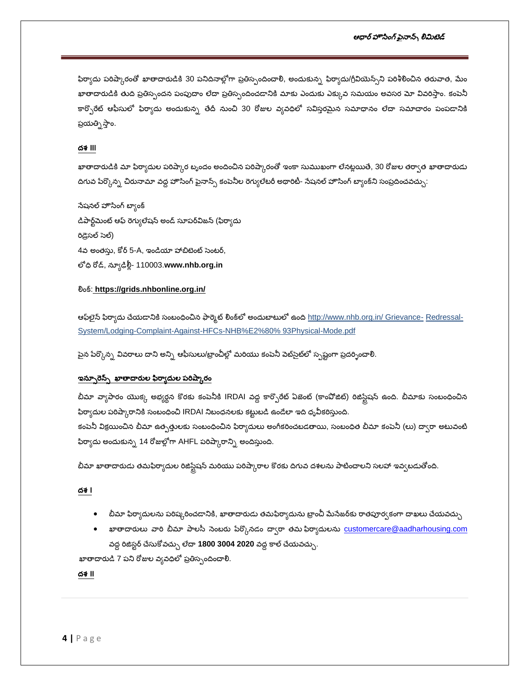### ఆధార్ హౌసింగ్ ఫైనాన్స్ లిమిటెడ్

ఫిర్యాదు పరిష్కారంతో ఖాతాదారుడికి 30 పనిదినాల్లోగా ప్రతిస్పందించాలి, అందుకున్న ఫిర్యాదు/గ్రీవియెన్స్**ని పరిశీలించిన తరువాత, మేం** ఖాతాదారుడికి తుది ప్రతిస్పందన పంపుదాం లేదా ప్రతిస్పందించడానికి మాకు ఎందుకు ఎక్కువ సమయం అవసర మో వివరిస్తాం. కంపెనీ కార్పొరేట్ ఆఫీసులో ఫిర్యాదు అందుకున్న తేదీ నుంచి 30 రోజుల వ్యవధిలో సవిస్తరమైన సమాధానం లేదా సమాచారం పంపడానికి ప్రయత్నిస్తాం.

### ර<sub>ම්</sub> III

ఖాతాదారుడికి మా ఫిర్యాదుల పరిష్కార బృందం అందించిన పరిష్కారంతో ఇంకా సుముఖంగా లేనట్లయితే, 30 రోజుల తర్వాత ఖాతాదారుడు దిగువ పేర్కొన్న చిరునామా వద్ద హౌసింగ్ పైనాన్స్ కంపెనీల రెగ్యులేటరీ అథారిటీ- సేషనల్ హౌసింగ్ బ్యాంక్ని సంప్రదించవచ్చు.

సేషనల్ హౌసింగ్ బ్యాంక్ డిపార్ట్మెంట్ ఆఫ్ రెగ్యులేషన్ అండ్ సూపర్విజన్ (ఫిర్యాదు రిడ్రెసల్ సెల్) 4వ అంతస్తు, కోర్ 5-A, ఇండియా హాబిటెంట్ సెంటర్, లోధి రోడ్, న్యూఢిల్లీ- 110003.www.nhb.org.in

### ଥିତର୍ଣ: https://grids.nhbonline.org.in/

ఆఫ్వైన్ ఫిర్యాదు చేయడానికి సంబంధించిన ఫార్మెట్ లింక్లలో అందుబాటులో ఉంది http://www.nhb.org.in/ Grievance- Redressal-System/Lodging-Complaint-Against-HFCs-NHB%E2%80% 93Physical-Mode.pdf

పైన పేర్కొన్న వివరాలు దాని అన్ని ఆఫీసులు/బ్రాంచీల్లో మరియు కంపెనీ పెట్సైట్లో స్పష్టంగా ప్రదర్నించాలి.

#### ఇన్ఫూరెన్స్ ఖాతాదారుల ఫిర్యాదుల పరిష్కారం

బీమా వ్యాపారం యొక్క అభ్యర్థన కొరకు కంపెనీకి IRDAI వద్ద కార్పొరేట్ ఏజెంట్ (కాంపోజిట్) రిజిస్టేషన్ ఉంది. బీమాకు సంబంధించిన ఫిర్యాదుల పరిష్కారానికి సంబంధించి IRDAI నిబంధనలకు కట్టుబడి ఉండేలా ఇది ధృవీకరిస్తుంది.

కంపెనీ విక్రయించిన బీమా ఉత్పత్తులకు సంబంధించిన ఫిర్యాదులు అంగీకరించబడతాయి, సంబంధిత బీమా కంపెనీ (లు) ద్వారా అటువంటి ఫిర్యాదు అందుకున్న 14 రోజుల్లోగా AHFL పరిష్కారాన్ని అందిస్తుంది.

బీమా ఖాతాదారుడు తమఫిర్యాదుల రిజిస్టేషన్ మరియు పరిష్కారాల కొరకు దిగువ దశలను పాటించాలని సలహా ఇవ్వబడుతోంది.

### ර්් l

- $\bullet$  బీమా ఫిర్యాదులను పరిష్కరించడానికి, ఖాతాదారుడు తమఫిర్యాదును బ్రాంచీ మేనేజర్ఆు రాతపూర్వకంగా దాఖలు చేయవచ్చు
- ఖాతాదారులు వారి బీమా పాలసీ సెంబరు పేర్కొనడం ద్వారా తమ ఫిర్యాదులను  $\overline{\text{customer}}$ @aadharhousing.com వద్ద రిజిస్టర్ చేసుకోవచ్చు లేదా 1800 3004 2020 వద్ద కాల్ చేయవచ్చు.

ఖాతాదారుడి 7 పని రోజుల వ్యవధిలో ప్రతిస్పందించాలి.

### ద<del>శ</del> II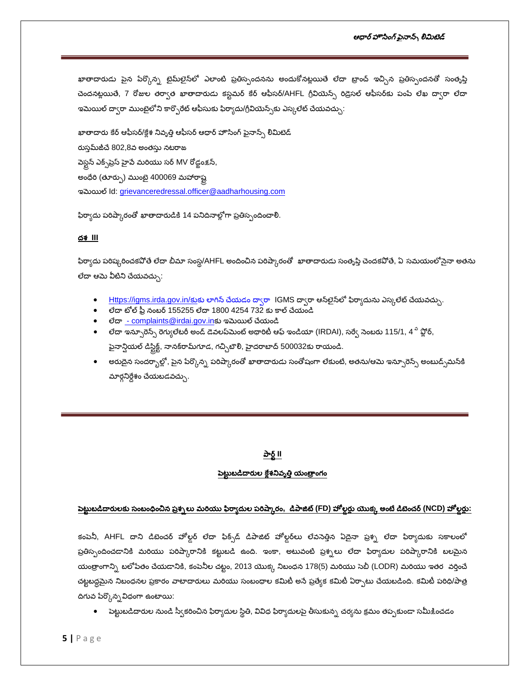ఖాతాదారుడు పైన పేర్కొన్న టైమ్లలైన్లో ఎలాంటి ప్రతిస్పందనను అందుకోనట్లయితే లేదా బ్రాంచ్ ఇచ్చిన ప్రతిస్పందనతో సంతృప్తి చెందనట్లయితే, 7 రోజుల తర్వాత ఖాతాదారుడు కస్టమర్ కేర్ ఆఫీసర్/AHFL గ్రీవియెన్స్ రిడ్రెసల్ ఆఫీసర్**కు పంపే లేఖ ద్వారా** లేదా ఇమెయిల్ ద్వారా ముంబైలోని కార్పొరేట్ ఆఫీసుకు ఫిర్యాదు/గ్రీవియెన్స్ఈ ఎస్కలేట్ చేయవచ్చు $\colon$ 

ఖాతాదారు కేర్ ఆఫీసర్/క్లేశ నివృత్తి ఆఫీసర్ ఆధార్ హౌసింగ్ పైనాన్స్ లిమిటెడ్ రుస్తమ్ జీచే 802,8వ అంతస్తు నటరాజ పెస్టన్ ఎక్స్ట్రేస్ హైపే మరియు సర్ MV రోడ్లంక్షన్, అంధేరి (తూర్పు) ముంబై 400069 మహారాష్ట ಇಮಿಯಲ್ Id: [grievanceredressal.officer@aadharhousing.com](mailto:grievanceredressal.officer@aadharhousing.com)

ఫిర్యాదు పరిష్కారంతో ఖాతాదారుడికి 14 పనిదినాల్లోగా ప్రతిస్పందించాలి.

### దశ **III**

ఫిర్యాదు పరిష్కరించకవోతే లేదా బీమా సంస్థ/AHFL అందించిన పరిష్కారంతో ఖాతాదారుడు సంతృప్తి చెందకవోతే, ఏ సమయంలోనైనా అతను లేదా ఆమె వీటిని చేయవచ్చు:

- $\bullet$  Https://igms.irda.gov.in/కుకు లాగిన్ చేయడం ద్వారా IGMS ద్వారా ఆన్ఆైన్లలో ఫిర్యాదును ఎస్కలేట్ చేయవచ్చు.
- $\bullet$  లేదా టోల్ ఫ్లీ నంబర్ 155255 లేదా 1800 4254 732 కు కాల్ చేయండి
- ಲೆದ್<u>ಡ [complaints@irdai.gov.in](mailto:-complaints@irdai.gov.in)</u>కు ಇಮಿಯಲ್ ವೆಯಂಪಿ
- లేదా ఇన్సూరెన్స్ రెగ్యులేటరీ అండ్ డెవలప్ఎుంట్ అథారిటీ ఆఫ్ ఇండియా (IRDAI), సర్వే సెంబరు 115/1, 4 <sup>వి</sup> ఫ్లోర్, ఫైనాన్షియల్ డిస్టిక్ట్, నానక్రామ్గగాడ, గచ్చిబౌలి, హైదరాబాద్ 500032కు రాయండి.
- అరుదైన సందర్భాల్లో, పైన పేర్కొన్న పరిష్కారంతో ఖాతాదారుడు సంతోషంగా లేకుంటే, అతను/ఆమె ఇన్సూరెన్స్ అంబుడ్సమస్<sup>కి</sup>  $\Delta$ రార్గనిర్దేశం చేయబడవచ్చు.

### పార్ట్ II

#### పెట్టుబడిదారుల క్లేశనివృత్తి యంత్రాంగం

### <u>పెట్టుబడిదారులకు సంబంధించిన ప్రశ్నలు మరియు ఫిర్యాదుల పరిష్కారం, డిపాజిట్ (FD) హోల్డర్లు యొక్క అంటే డిటెంచర్ (NCD) హోల్డర్లు:</u>

కంపెనీ, AHFL దాని డిబెంచర్ హోల్డర్ లేదా ఫిక్స్డ్ డిపాజిట్ హోల్డర్**లు లేవసెత్తిన ఏదైనా ప్రశ్న లేదా ఫిర్యాదు**కు సకాలంలో ప్రతిస్పందించడానికి మరియు పరిష్కారానికి కట్టుబడి ఉంది. ఇంకా, అటువంటి ప్రశ్నలు లేదా ఫిర్యాదుల పరిష్కారానికి బలమైన యంత్రాంగాన్ని బలోపేతం చేయడానికి, కంపెనీల చట్టం, 2013 యొక్క నిబంధన 178(5) మరియు సెబీ (LODR) మరియు ఇతర వర్తించే చట్టబద్ధమైన నిబంధనల ప్రకారం వాటాదారులు మరియు సంబంధాల కమిటీ అసే ప్రత్యేక కమిటీ ఏర్పాటు చేయబడింది. కమిటీ పరిధి/పాత్ర దిగువ పేర్కొన్న విధంగా ఉంటాయి:

• పెట్టుబడిదారుల నుండి స్వీకరించిన ఫిర్యాదుల స్థితి, వివిధ ఫిర్యాదులపై తీసుకున్న చర్యను క్రమం తప్పకుండా సమీకించడం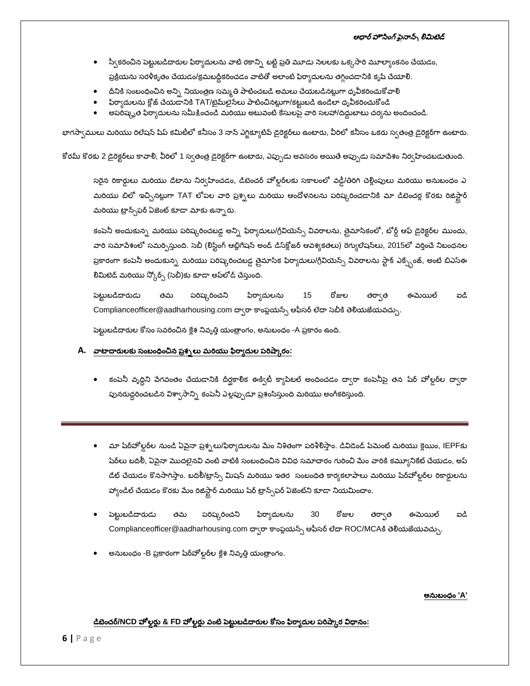- స్వీకరించిన పెట్టుబడిదారుల ఫిర్యాదులను వాటి రకాన్ని బట్టి ప్రతి మూడు సెలలకు ఒక్కసారి మూల్యాంకనం చేయడం, ప్రక్రియను సరళీకృతం చేయడం/క్రమబద్ధీకరించడం వాటితో అలాంటి ఫిర్యాదులను తగ్గించడానికి కృషి చేయాలి.
- దీనికి సంబంధించిన అన్ని నియంత్రణ సమ్మతి పాటించబడి అమలు చేయబడినట్లుగా ధృవీకరించుకోవాలి
- ఫిర్యాదులను క్లోజ్ చేయడానికి TAT/టైమ్౭ైన్లలు పాటించినట్లుగా/కట్టుబడి ఉండేలా ధృవీకరించుకోండి
- అపరిష్ళృత ఫిర్యాదులను సమీక్షించండి మరియు అటువంటి కేసులపై వారి సలహా/దిద్దుబాటు చర్యను అందించండి.

భాగస్వాములు మరియు రిలేషన్ షిప్ కమిటీలో కనీసం 3 నాన్ ఎగ్జిక్యూటివ్ డైరెక్టర్**లు ఉంటారు, వీరిలో కనీసం ఒకరు స్వతంత్ర** డైరెక్టర్**గా ఉంటారు**.

కోరమ్ కొరకు 2 డైరెక్టర్**లు కావాలి, వీరిలో 1 స్వతంత్ర డైరెక్టర్**గా ఉంటారు, ఎప్పుడు అవసరం అయితే అప్పుడు సమాపేశం నిర్వహించబడుతుంది.

సరైన రికార్డులు మరియు డేటాను నిర్వహించడం, డిబెంచర్ హోల్డర్ఒకు సకాలంలో వడ్డీ/తిరిగి చెల్లింపులు మరియు అనుబంధం ఎ మరియు బిలో ఇచ్చినట్లుగా TAT లోపల వారి ప్రశ్నలు మరియు ఆందోళనలను పరిష్కరించడానికి మా డిబెంచర్ల కొరకు రిజిస్టార్ మరియు ట్రాన్స్ ఫర్ ఏజెంట్ కూడా మాకు ఉన్నారు.

కంపెనీ అందుకున్న మరియు పరిష్కరించబడ్డ అన్ని ఫిర్యాదులు/గ్రీవియెన్స్ వివరాలను, తైమాసికంలో, బోర్డ్ ఆఫ్ డైరెక్టర్**ల ముందు**, వారి సమాపేశంలో సమర్పిస్తుంది. సెబీ (లిస్టింగ్ ఆబ్లిగేషన్ అండ్ డిస్క్లోజర్ ఆవశ్యకతలు) రెగ్యులేషన్లు, 2015లో వర్తించే నిబంధనల ప్రకారంగా కంపెనీ అందుకున్న మరియు పరిష్కరించబడ్డ త్రైమాసిక ఫిర్యాదులు/గ్రీవియెన్స్ వివరాలను స్టాక్ ఎక్స్పేంజ్, అంటే బిఎస్ఈ లిమిటెడ్ మరియు స్కోర్స్ (సెబీ)కు కూడా అప్**లోడ్ చేస్తుంది**.

పెట్టుబడిదారుడు తమ పరిష్కరించని ఫిర్యాదులను 15 రోజుల ఈమెయిల్ තයී తర్వాత [Complianceofficer@aadharhousing.com](mailto:complianceofficer@aadharhousing.com) ద్వారా కాంప్లయన్స్ ఆఫీసర్ లేదా సెబీకి తెలియజేయవచ్చు.

పెట్టుబడిదారుల కోసం సవరించిన క్లేశ నివృత్తి యంత్రాంగం, అనుబంధం -A ప్రకారం ఉంది.

### A. <u>వాటాదారులకు సంబంధించిన ప్రశ్నలు మరియు ఫిర్యాదుల పరిష్కారం:</u>

- కంపెనీ వృద్దిని పేగవంతం చేయడానికి దీర్ఘకాలిక ఈక్విటీ క్యాపిటల్ అందించడం ద్వారా కంపెనీపై తన షేర్ హోల్డర్ల ద్వారా పునరుద్ధరించబడిన విశ్వాసాన్ని కంపెనీ ఎల్లప్పుడూ ప్రశంసిస్తుంది మరియు అంగీకరిస్తుంది.
- మా షేర్హోల్డర్లల నుండి ఏపైనా ప్రశ్నలు/ఫిర్యాదులను మేం నిశితంగా పరిశీలిస్తాం. డివిడెండ్ పేమెంట్ మరియు క్లెయిం, IEPFకు షేర్లలు బదిలీ, ఏవైనా మొదలైనవి వంటి వాటికి సంబంధించిన వివిధ సమాచారం గురించి మేం వారికి కమ్యూనికేట్ చేయడం, అప్ డేట్ చేయడం కొనసాగిస్తాం. బదిలీ/ట్రాన్స్ మిషన్ మరియు ఇతర సంబంధిత కార్యకలాపాలు మరియు షేర్హోల్డర్ రికార్డులను హ్యాండిల్ చేయడం కొరకు మేం రిజిస్ట్రార్ మరియు షేర్ ట్రాన్స్-ఫర్ ఏజెంట్ని కూడా నియమించాం.
- పెట్టుబడిదారుడు తమ పరిష్కరించని ఫిర్యాదులను 30 రోజుల తర్వాత ఈమెయిల్ ကင္ယံ [Complianceofficer@aadharhousing.com](mailto:complianceofficer@aadharhousing.com) దా(రా కాంప్లయన్స్ ఆఫీసర్ లేదా ROC/MCAకి తెలియజేయవచ్చు.
- అనుబంధం -B ప్రకారంగా షేర్హోల్గర్**ల క్లేశ నివృత్తి** యంత్రాంగం.

### **'A'**

### డిబెంచర్/NCD హోల్లర్లు & FD హోల్లర్లు <u>వంటి పెట్టుబడిదారుల కోసం ఫిర్యాదుల పరిష్కార విధానం:</u>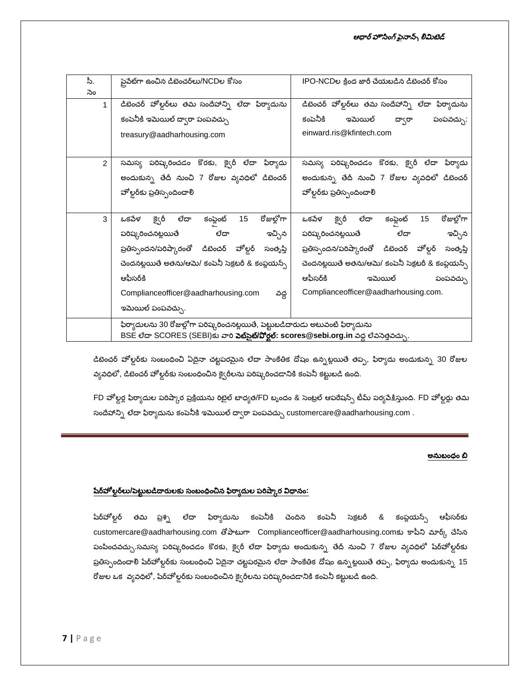| పీ.           | పైపేట్గా ఉంచిన డిబెంచర్ <b>లు/NCDల</b> కోసం                                                   | IPO-NCDల క్రింద జారీ చేయబడిన డిబెంచర్ కోసం               |
|---------------|-----------------------------------------------------------------------------------------------|----------------------------------------------------------|
| సెం           |                                                                                               |                                                          |
| 1             | డిబెంచర్ హోల్డర్లలు తమ సందేహాన్ని లేదా ఫిర్యాదును                                             | డిబెంచర్ హోల్డర్లలు తమ సందేహాన్ని లేదా ఫిర్యాదును        |
|               | కంపెనీకి ఇమెయిల్ ద్వారా పంపవచ్చు                                                              | కంపెనీకి<br>ఇమెయిల్<br>ద్వారా<br>పంపవచ్చు:               |
|               | treasury@aadharhousing.com                                                                    | einward.ris@kfintech.com                                 |
|               |                                                                                               |                                                          |
| $\mathcal{P}$ | సమస్య పరిష్కరించడం కొరకు, క్వైరీ లేదా ఫిర్యాదు                                                | సమస్య పరిష్కరించడం కొరకు, క్వైరీ లేదా ఫిర్యాదు           |
|               | అందుకున్న తేదీ నుంచి 7 రోజుల వ్యవధిలో డిబెంచర్                                                | అందుకున్న తేదీ నుంచి 7 రోజుల వ్యవధిలో డిబెంచర్           |
|               | హోల్డర్కు ప్రతిస్పందించాలి                                                                    | హోల్డర్కు ప్రతిస్పందించాలి                               |
|               |                                                                                               |                                                          |
| 3             | రోజుల్లోగా<br>ğçô<br>ಲೆದ್<br>15<br>ఒకపేళ<br>కంప్లెంట్                                         | రోజుల్లోగా<br>క్వైరీ<br>ಲೆದ್<br>ఒకపేళ<br>కంప్లెంట్<br>15 |
|               | పరిష్కరించనట్లయితే                    లేదా<br>ఇచ్చిన                                          | ఇచ్చిన<br>పరిష్కరించనట్లయితే<br>లేదా                     |
|               | ప్రతిస్పందన/పరిష్కారంతో డిబెంచర్ హోల్డర్<br>సంతృప్తి                                          | ప్రతిస్పందన/పరిష్కారంతో డిబెంచర్ హోల్డర్<br>సంతృప్తి     |
|               | చెందనట్లయితే అతను/ఆమె/ కంపెనీ సెక్రటరీ & కంప్లయన్స్                                           | చెందనట్లయితే అతను/ఆమె/ కంపెనీ సెక్రటరీ & కంప్లయన్స్      |
|               | ఆఫీసర్కి                                                                                      | ఆఫీసర్కి<br>ఇమెయిల్<br>పంపవచ్చు                          |
|               | Complianceofficer@aadharhousing.com<br>వద్ద                                                   | Complianceofficer@aadharhousing.com.                     |
|               | ఇమెయిల్ పంపవచ్చు.                                                                             |                                                          |
|               | ఫిర్యాదులను 30 రోజుల్లోగా పరిష్కరించనట్లయితే, పెట్టుబడిదారుడు అటువంటి ఫిర్యాదును              |                                                          |
|               | BSE లేదా SCORES (SEBI)కు వారి <b>పెట్సైట్/పోర్టల్: scores@sebi.org.in</b> వద్ద లేవసెత్తవచ్చు. |                                                          |

డిబెంచర్ హోల్డర్**కు సంబంధించి ఏదైనా చట్టపరమైన లేదా సాంకే**తిక దోషం ఉన్నట్లయితే తప్ప, ఫిర్యాదు అందుకున్న 30 రోజుల వ్యవధిలో, డిబెంచర్ హోల్డర్అు సంబంధించిన క్వైరీలను పరిష్కరించడానికి కంపెనీ కట్టుబడి ఉంది.

FD హోల్డర్ల ఫిర్యాదుల పరిష్కార ప్రక్రియను రిటైల్ బాధ్యత/FD బృందం & సెంట్రల్ ఆపరేషన్స్ టీమ్ పర్యవేకిస్తుంది. FD హోల్డర్లు తమ సందేహాన్ని లేదా ఫిర్యాదును కంపెనీకి ఇమెయిల్ ద్వారా పంపవచ్చు customercare@aadharhousing.com .

### అనుబంధం బి

## షేర్హోల్గర్లలు/పెట్టుబడిదారులకు సంబంధించిన ఫిర్వాదుల పరిష్కార విధానం:

షేర్హోల్గర్ తమ ప్ర<del>శ్న</del> లేదా ఫిర్యాదును కంపెనీకి చెందిన కంపెనీ సెక్రటరీ & కంప్లయన్స్ ఆఫీసర్**కు** customercare@aadharhousing.com తోపాటుగా Complianceofficer@aadharhousing.comకు కాపీని మార్క్ చేసిన పంపించవచ్చు.సమస్య పరిష్కరించడం కొరకు, క్వైరీ లేదా ఫిర్యాదు అందుకున్న తేదీ నుంచి 7 రోజుల వ్యవధిలో షేర్హోల్డర్**కు** ప్రతిస్పందించాలి షేర్హోల్డర్డకు సంబంధించి ఏదైనా చట్టపరమైన లేదా సాంకేతిక దోషం ఉన్నట్లయితే తప్ప, ఫిర్యాదు అందుకున్న 15 రోజుల ఒక వ్యవధిలో, షేర్హోల్డర్అకు సంబంధించిన క్వైరీలను పరిష్కరించడానికి కంపెనీ కట్టుబడి ఉంది.